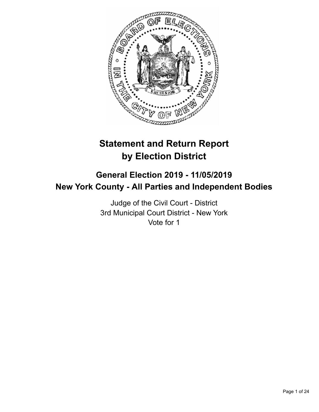

# **Statement and Return Report by Election District**

# **General Election 2019 - 11/05/2019 New York County - All Parties and Independent Bodies**

Judge of the Civil Court - District 3rd Municipal Court District - New York Vote for 1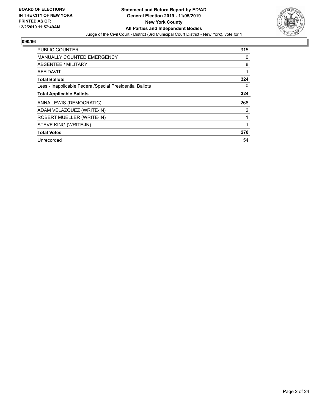

| PUBLIC COUNTER                                           | 315 |
|----------------------------------------------------------|-----|
| <b>MANUALLY COUNTED EMERGENCY</b>                        | 0   |
| ABSENTEE / MILITARY                                      | 8   |
| <b>AFFIDAVIT</b>                                         |     |
| <b>Total Ballots</b>                                     | 324 |
| Less - Inapplicable Federal/Special Presidential Ballots | 0   |
| <b>Total Applicable Ballots</b>                          | 324 |
| ANNA LEWIS (DEMOCRATIC)                                  | 266 |
| ADAM VELAZQUEZ (WRITE-IN)                                | 2   |
| ROBERT MUELLER (WRITE-IN)                                |     |
| STEVE KING (WRITE-IN)                                    |     |
| <b>Total Votes</b>                                       | 270 |
| Unrecorded                                               | 54  |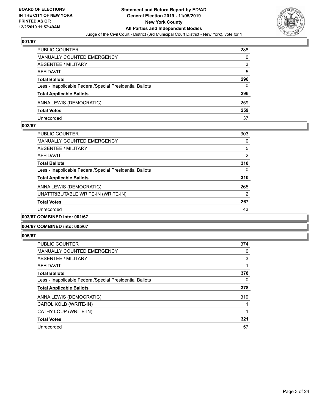

| <b>PUBLIC COUNTER</b>                                    | 288 |
|----------------------------------------------------------|-----|
| MANUALLY COUNTED EMERGENCY                               | 0   |
| <b>ABSENTEE / MILITARY</b>                               | 3   |
| AFFIDAVIT                                                | 5   |
| <b>Total Ballots</b>                                     | 296 |
| Less - Inapplicable Federal/Special Presidential Ballots | 0   |
| <b>Total Applicable Ballots</b>                          | 296 |
| ANNA LEWIS (DEMOCRATIC)                                  | 259 |
| <b>Total Votes</b>                                       | 259 |
| Unrecorded                                               | 37  |

#### **002/67**

| <b>PUBLIC COUNTER</b>                                    | 303 |
|----------------------------------------------------------|-----|
| <b>MANUALLY COUNTED EMERGENCY</b>                        | 0   |
| ABSENTEE / MILITARY                                      | 5   |
| AFFIDAVIT                                                | 2   |
| <b>Total Ballots</b>                                     | 310 |
| Less - Inapplicable Federal/Special Presidential Ballots | 0   |
| <b>Total Applicable Ballots</b>                          | 310 |
| ANNA LEWIS (DEMOCRATIC)                                  | 265 |
| UNATTRIBUTABLE WRITE-IN (WRITE-IN)                       | 2   |
| <b>Total Votes</b>                                       | 267 |
| Unrecorded                                               | 43  |
| 003/67 COMBINED into: 001/67                             |     |

## **004/67 COMBINED into: 005/67**

| <b>PUBLIC COUNTER</b>                                    | 374 |
|----------------------------------------------------------|-----|
| <b>MANUALLY COUNTED EMERGENCY</b>                        | 0   |
| ABSENTEE / MILITARY                                      | 3   |
| AFFIDAVIT                                                |     |
| <b>Total Ballots</b>                                     | 378 |
| Less - Inapplicable Federal/Special Presidential Ballots | 0   |
| <b>Total Applicable Ballots</b>                          | 378 |
| ANNA LEWIS (DEMOCRATIC)                                  | 319 |
| CAROL KOLB (WRITE-IN)                                    |     |
| CATHY LOUP (WRITE-IN)                                    |     |
| <b>Total Votes</b>                                       | 321 |
| Unrecorded                                               | 57  |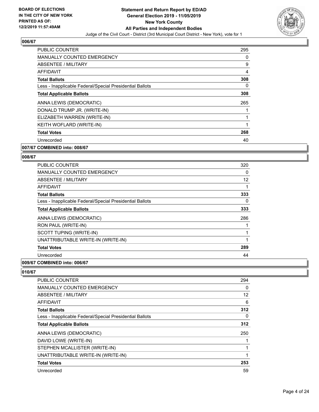

| PUBLIC COUNTER                                           | 295      |
|----------------------------------------------------------|----------|
| <b>MANUALLY COUNTED EMERGENCY</b>                        | 0        |
| ABSENTEE / MILITARY                                      | 9        |
| <b>AFFIDAVIT</b>                                         | 4        |
| <b>Total Ballots</b>                                     | 308      |
| Less - Inapplicable Federal/Special Presidential Ballots | $\Omega$ |
| <b>Total Applicable Ballots</b>                          | 308      |
| ANNA LEWIS (DEMOCRATIC)                                  | 265      |
| DONALD TRUMP JR. (WRITE-IN)                              |          |
| ELIZABETH WARREN (WRITE-IN)                              |          |
| KEITH WOFLARD (WRITE-IN)                                 |          |
| <b>Total Votes</b>                                       | 268      |
| Unrecorded                                               | 40       |
| 007/67 COMBINED into: 008/67                             |          |

## **008/67**

| PUBLIC COUNTER                                           | 320 |
|----------------------------------------------------------|-----|
| <b>MANUALLY COUNTED EMERGENCY</b>                        | 0   |
| ABSENTEE / MILITARY                                      | 12  |
| AFFIDAVIT                                                | 1   |
| <b>Total Ballots</b>                                     | 333 |
| Less - Inapplicable Federal/Special Presidential Ballots | 0   |
| <b>Total Applicable Ballots</b>                          | 333 |
| ANNA LEWIS (DEMOCRATIC)                                  | 286 |
| RON PAUL (WRITE-IN)                                      | 1   |
| SCOTT TUPING (WRITE-IN)                                  | 1   |
| UNATTRIBUTABLE WRITE-IN (WRITE-IN)                       | 1   |
| <b>Total Votes</b>                                       | 289 |
| Unrecorded                                               | 44  |
|                                                          |     |

#### **009/67 COMBINED into: 006/67**

| <b>PUBLIC COUNTER</b>                                    | 294 |
|----------------------------------------------------------|-----|
| <b>MANUALLY COUNTED EMERGENCY</b>                        | 0   |
| ABSENTEE / MILITARY                                      | 12  |
| AFFIDAVIT                                                | 6   |
| <b>Total Ballots</b>                                     | 312 |
| Less - Inapplicable Federal/Special Presidential Ballots | 0   |
| <b>Total Applicable Ballots</b>                          | 312 |
| ANNA LEWIS (DEMOCRATIC)                                  | 250 |
| DAVID LOWE (WRITE-IN)                                    |     |
| STEPHEN MCALLISTER (WRITE-IN)                            |     |
| UNATTRIBUTABLE WRITE-IN (WRITE-IN)                       | 1   |
| <b>Total Votes</b>                                       | 253 |
| Unrecorded                                               | 59  |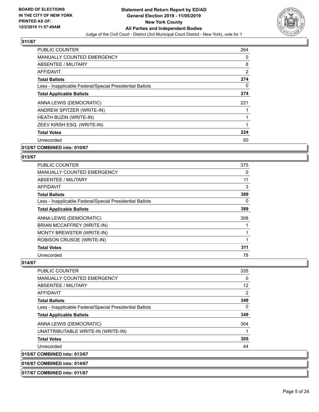

| <b>PUBLIC COUNTER</b>                                    | 264            |
|----------------------------------------------------------|----------------|
| MANUALLY COUNTED EMERGENCY                               | 0              |
| ABSENTEE / MILITARY                                      | 8              |
| AFFIDAVIT                                                | $\overline{2}$ |
| <b>Total Ballots</b>                                     | 274            |
| Less - Inapplicable Federal/Special Presidential Ballots | 0              |
| <b>Total Applicable Ballots</b>                          | 274            |
| ANNA LEWIS (DEMOCRATIC)                                  | 221            |
| ANDREW SPITZER (WRITE-IN)                                |                |
| HEATH BUZIN (WRITE-IN)                                   | 1              |
| ZEEV KIRSH ESQ. (WRITE-IN)                               | 1              |
| <b>Total Votes</b>                                       | 224            |
| Unrecorded                                               | 50             |
|                                                          |                |

## **012/67 COMBINED into: 010/67**

#### **013/67**

| <b>PUBLIC COUNTER</b>                                    | 375 |
|----------------------------------------------------------|-----|
| <b>MANUALLY COUNTED EMERGENCY</b>                        | 0   |
| ABSENTEE / MILITARY                                      | 11  |
| <b>AFFIDAVIT</b>                                         | 3   |
| <b>Total Ballots</b>                                     | 389 |
| Less - Inapplicable Federal/Special Presidential Ballots | 0   |
| <b>Total Applicable Ballots</b>                          | 389 |
| ANNA LEWIS (DEMOCRATIC)                                  | 308 |
| BRIAN MCCAFFREY (WRITE-IN)                               |     |
| MONTY BREWSTER (WRITE-IN)                                |     |
| ROBISON CRUSOE (WRITE-IN)                                |     |
| <b>Total Votes</b>                                       | 311 |
| Unrecorded                                               | 78  |

#### **014/67**

| <b>PUBLIC COUNTER</b>                                    | 335      |
|----------------------------------------------------------|----------|
| <b>MANUALLY COUNTED EMERGENCY</b>                        | $\Omega$ |
| ABSENTEE / MILITARY                                      | 12       |
| AFFIDAVIT                                                | 2        |
| <b>Total Ballots</b>                                     | 349      |
| Less - Inapplicable Federal/Special Presidential Ballots | $\Omega$ |
| <b>Total Applicable Ballots</b>                          | 349      |
| ANNA LEWIS (DEMOCRATIC)                                  | 304      |
| UNATTRIBUTABLE WRITE-IN (WRITE-IN)                       |          |
| <b>Total Votes</b>                                       | 305      |
| Unrecorded                                               | 44       |
| 015/67 COMBINED into: 013/67                             |          |

## **016/67 COMBINED into: 014/67**

**017/67 COMBINED into: 011/67**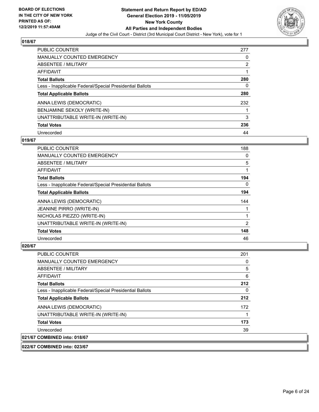

| <b>PUBLIC COUNTER</b>                                    | 277 |
|----------------------------------------------------------|-----|
| <b>MANUALLY COUNTED EMERGENCY</b>                        | 0   |
| ABSENTEE / MILITARY                                      | 2   |
| AFFIDAVIT                                                |     |
| <b>Total Ballots</b>                                     | 280 |
| Less - Inapplicable Federal/Special Presidential Ballots | 0   |
| <b>Total Applicable Ballots</b>                          | 280 |
| ANNA LEWIS (DEMOCRATIC)                                  | 232 |
| BENJAMINE SEKOLY (WRITE-IN)                              |     |
| UNATTRIBUTABLE WRITE-IN (WRITE-IN)                       | 3   |
| <b>Total Votes</b>                                       | 236 |
| Unrecorded                                               | 44  |

### **019/67**

| <b>PUBLIC COUNTER</b>                                    | 188      |
|----------------------------------------------------------|----------|
| <b>MANUALLY COUNTED EMERGENCY</b>                        | 0        |
| ABSENTEE / MILITARY                                      | 5        |
| AFFIDAVIT                                                |          |
| <b>Total Ballots</b>                                     | 194      |
| Less - Inapplicable Federal/Special Presidential Ballots | $\Omega$ |
| <b>Total Applicable Ballots</b>                          | 194      |
| ANNA LEWIS (DEMOCRATIC)                                  | 144      |
| <b>JEANINE PIRRO (WRITE-IN)</b>                          |          |
| NICHOLAS PIEZZO (WRITE-IN)                               |          |
| UNATTRIBUTABLE WRITE-IN (WRITE-IN)                       | 2        |
| <b>Total Votes</b>                                       | 148      |
| Unrecorded                                               | 46       |

## **020/67**

| <b>PUBLIC COUNTER</b>                                    | 201 |
|----------------------------------------------------------|-----|
| <b>MANUALLY COUNTED EMERGENCY</b>                        | 0   |
| ABSENTEE / MILITARY                                      | 5   |
| AFFIDAVIT                                                | 6   |
| <b>Total Ballots</b>                                     | 212 |
| Less - Inapplicable Federal/Special Presidential Ballots | 0   |
| <b>Total Applicable Ballots</b>                          | 212 |
| ANNA LEWIS (DEMOCRATIC)                                  | 172 |
| UNATTRIBUTABLE WRITE-IN (WRITE-IN)                       |     |
| <b>Total Votes</b>                                       | 173 |
| Unrecorded                                               | 39  |
| 021/67 COMBINED into: 018/67                             |     |

## **022/67 COMBINED into: 023/67**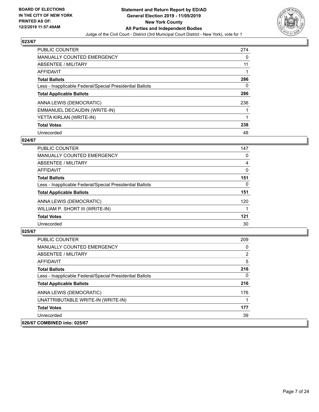

| <b>PUBLIC COUNTER</b>                                    | 274 |
|----------------------------------------------------------|-----|
| <b>MANUALLY COUNTED EMERGENCY</b>                        | 0   |
| ABSENTEE / MILITARY                                      | 11  |
| AFFIDAVIT                                                |     |
| <b>Total Ballots</b>                                     | 286 |
| Less - Inapplicable Federal/Special Presidential Ballots | 0   |
| <b>Total Applicable Ballots</b>                          | 286 |
| ANNA LEWIS (DEMOCRATIC)                                  | 236 |
| EMMANUEL DECAUDIN (WRITE-IN)                             |     |
| YETTA KIRLAN (WRITE-IN)                                  |     |
| <b>Total Votes</b>                                       | 238 |
| Unrecorded                                               | 48  |

### **024/67**

| <b>PUBLIC COUNTER</b>                                    | 147      |
|----------------------------------------------------------|----------|
| <b>MANUALLY COUNTED EMERGENCY</b>                        | 0        |
| ABSENTEE / MILITARY                                      | 4        |
| <b>AFFIDAVIT</b>                                         | $\Omega$ |
| <b>Total Ballots</b>                                     | 151      |
| Less - Inapplicable Federal/Special Presidential Ballots | 0        |
| <b>Total Applicable Ballots</b>                          | 151      |
| ANNA LEWIS (DEMOCRATIC)                                  | 120      |
| WILLIAM P. SHORT III (WRITE-IN)                          |          |
| <b>Total Votes</b>                                       | 121      |
| Unrecorded                                               | 30       |

| PUBLIC COUNTER                                           | 209            |
|----------------------------------------------------------|----------------|
| <b>MANUALLY COUNTED EMERGENCY</b>                        | 0              |
| ABSENTEE / MILITARY                                      | $\overline{2}$ |
| AFFIDAVIT                                                | 5              |
| <b>Total Ballots</b>                                     | 216            |
| Less - Inapplicable Federal/Special Presidential Ballots | $\Omega$       |
| <b>Total Applicable Ballots</b>                          | 216            |
| ANNA LEWIS (DEMOCRATIC)                                  | 176            |
| UNATTRIBUTABLE WRITE-IN (WRITE-IN)                       |                |
| <b>Total Votes</b>                                       | 177            |
| Unrecorded                                               | 39             |
| 026/67 COMBINED into: 025/67                             |                |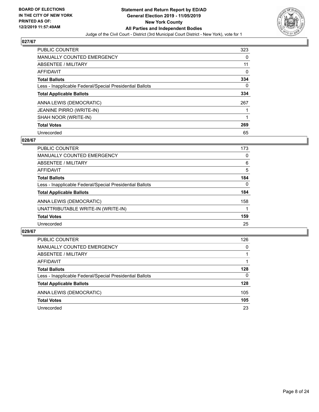

| <b>PUBLIC COUNTER</b>                                    | 323 |
|----------------------------------------------------------|-----|
| <b>MANUALLY COUNTED EMERGENCY</b>                        | 0   |
| ABSENTEE / MILITARY                                      | 11  |
| AFFIDAVIT                                                | 0   |
| <b>Total Ballots</b>                                     | 334 |
| Less - Inapplicable Federal/Special Presidential Ballots | 0   |
| <b>Total Applicable Ballots</b>                          | 334 |
| ANNA LEWIS (DEMOCRATIC)                                  | 267 |
| <b>JEANINE PIRRO (WRITE-IN)</b>                          |     |
| SHAH NOOR (WRITE-IN)                                     |     |
| <b>Total Votes</b>                                       | 269 |
| Unrecorded                                               | 65  |

### **028/67**

| <b>PUBLIC COUNTER</b>                                    | 173      |
|----------------------------------------------------------|----------|
| <b>MANUALLY COUNTED EMERGENCY</b>                        | 0        |
| ABSENTEE / MILITARY                                      | 6        |
| AFFIDAVIT                                                | 5        |
| <b>Total Ballots</b>                                     | 184      |
| Less - Inapplicable Federal/Special Presidential Ballots | $\Omega$ |
| <b>Total Applicable Ballots</b>                          | 184      |
| ANNA LEWIS (DEMOCRATIC)                                  | 158      |
| UNATTRIBUTABLE WRITE-IN (WRITE-IN)                       |          |
| <b>Total Votes</b>                                       | 159      |
| Unrecorded                                               | 25       |

| <b>PUBLIC COUNTER</b>                                    | 126      |
|----------------------------------------------------------|----------|
| MANUALLY COUNTED EMERGENCY                               | $\Omega$ |
| <b>ABSENTEE / MILITARY</b>                               |          |
| AFFIDAVIT                                                |          |
| <b>Total Ballots</b>                                     | 128      |
| Less - Inapplicable Federal/Special Presidential Ballots | $\Omega$ |
| <b>Total Applicable Ballots</b>                          | 128      |
| ANNA LEWIS (DEMOCRATIC)                                  | 105      |
| <b>Total Votes</b>                                       | 105      |
| Unrecorded                                               | 23       |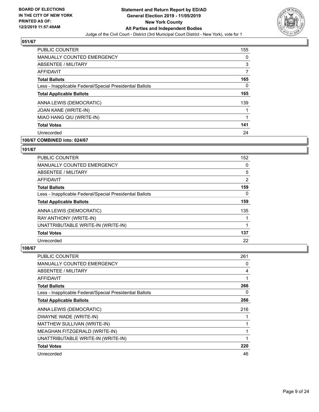

| PUBLIC COUNTER                                           | 155 |
|----------------------------------------------------------|-----|
| <b>MANUALLY COUNTED EMERGENCY</b>                        | 0   |
| ABSENTEE / MILITARY                                      | 3   |
| <b>AFFIDAVIT</b>                                         | 7   |
| <b>Total Ballots</b>                                     | 165 |
| Less - Inapplicable Federal/Special Presidential Ballots | 0   |
| <b>Total Applicable Ballots</b>                          | 165 |
| ANNA LEWIS (DEMOCRATIC)                                  | 139 |
| JOAN KANE (WRITE-IN)                                     |     |
| MIAO HANG QIU (WRITE-IN)                                 | 1   |
| <b>Total Votes</b>                                       | 141 |
| Unrecorded                                               | 24  |

## **100/67 COMBINED into: 024/67**

## **101/67**

| <b>PUBLIC COUNTER</b>                                    | 152      |
|----------------------------------------------------------|----------|
| <b>MANUALLY COUNTED EMERGENCY</b>                        | $\Omega$ |
| ABSENTEE / MILITARY                                      | 5        |
| <b>AFFIDAVIT</b>                                         | 2        |
| <b>Total Ballots</b>                                     | 159      |
| Less - Inapplicable Federal/Special Presidential Ballots | $\Omega$ |
| <b>Total Applicable Ballots</b>                          | 159      |
| ANNA LEWIS (DEMOCRATIC)                                  | 135      |
| RAY ANTHONY (WRITE-IN)                                   |          |
| UNATTRIBUTABLE WRITE-IN (WRITE-IN)                       |          |
| <b>Total Votes</b>                                       | 137      |
| Unrecorded                                               | 22       |

| PUBLIC COUNTER                                           | 261 |
|----------------------------------------------------------|-----|
| <b>MANUALLY COUNTED EMERGENCY</b>                        | 0   |
| ABSENTEE / MILITARY                                      | 4   |
| AFFIDAVIT                                                | 1   |
| <b>Total Ballots</b>                                     | 266 |
| Less - Inapplicable Federal/Special Presidential Ballots | 0   |
| <b>Total Applicable Ballots</b>                          | 266 |
| ANNA LEWIS (DEMOCRATIC)                                  | 216 |
| DWAYNE WADE (WRITE-IN)                                   |     |
| MATTHEW SULLIVAN (WRITE-IN)                              |     |
| MEAGHAN FITZGERALD (WRITE-IN)                            | 1   |
| UNATTRIBUTABLE WRITE-IN (WRITE-IN)                       | 1   |
| <b>Total Votes</b>                                       | 220 |
| Unrecorded                                               | 46  |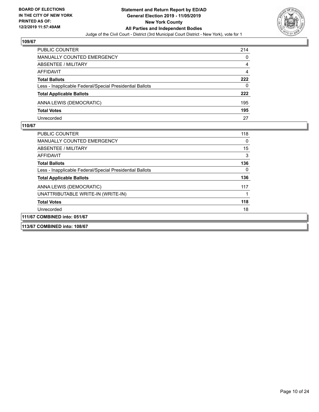

| <b>PUBLIC COUNTER</b>                                    | 214 |
|----------------------------------------------------------|-----|
| <b>MANUALLY COUNTED EMERGENCY</b>                        | 0   |
| ABSENTEE / MILITARY                                      | 4   |
| AFFIDAVIT                                                | 4   |
| <b>Total Ballots</b>                                     | 222 |
| Less - Inapplicable Federal/Special Presidential Ballots | 0   |
| <b>Total Applicable Ballots</b>                          | 222 |
| ANNA LEWIS (DEMOCRATIC)                                  | 195 |
| <b>Total Votes</b>                                       | 195 |
| Unrecorded                                               | 27  |

| <b>PUBLIC COUNTER</b>                                    | 118 |
|----------------------------------------------------------|-----|
| MANUALLY COUNTED EMERGENCY                               | 0   |
| ABSENTEE / MILITARY                                      | 15  |
| <b>AFFIDAVIT</b>                                         | 3   |
| <b>Total Ballots</b>                                     | 136 |
| Less - Inapplicable Federal/Special Presidential Ballots | 0   |
| <b>Total Applicable Ballots</b>                          | 136 |
| ANNA LEWIS (DEMOCRATIC)                                  | 117 |
| UNATTRIBUTABLE WRITE-IN (WRITE-IN)                       |     |
| <b>Total Votes</b>                                       | 118 |
| Unrecorded                                               | 18  |
| 111/67 COMBINED into: 051/67                             |     |
| 113/67 COMBINED into: 108/67                             |     |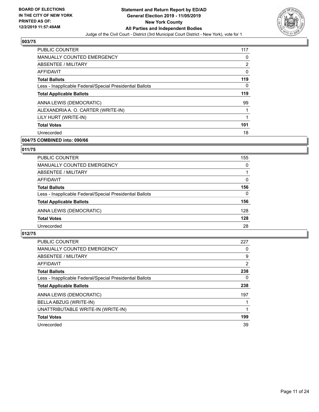

| PUBLIC COUNTER                                           | 117            |
|----------------------------------------------------------|----------------|
| <b>MANUALLY COUNTED EMERGENCY</b>                        | 0              |
| ABSENTEE / MILITARY                                      | $\overline{2}$ |
| <b>AFFIDAVIT</b>                                         | $\mathbf{0}$   |
| <b>Total Ballots</b>                                     | 119            |
| Less - Inapplicable Federal/Special Presidential Ballots | 0              |
| <b>Total Applicable Ballots</b>                          | 119            |
| ANNA LEWIS (DEMOCRATIC)                                  | 99             |
| ALEXANDRIA A. O. CARTER (WRITE-IN)                       |                |
| LILY HURT (WRITE-IN)                                     |                |
| <b>Total Votes</b>                                       | 101            |
| Unrecorded                                               | 18             |

## **004/75 COMBINED into: 090/66**

## **011/75**

| <b>PUBLIC COUNTER</b>                                    | 155      |
|----------------------------------------------------------|----------|
| <b>MANUALLY COUNTED EMERGENCY</b>                        | $\Omega$ |
| ABSENTEE / MILITARY                                      |          |
| AFFIDAVIT                                                | 0        |
| <b>Total Ballots</b>                                     | 156      |
| Less - Inapplicable Federal/Special Presidential Ballots | $\Omega$ |
| <b>Total Applicable Ballots</b>                          | 156      |
| ANNA LEWIS (DEMOCRATIC)                                  | 128      |
| <b>Total Votes</b>                                       | 128      |
| Unrecorded                                               | 28       |

| PUBLIC COUNTER                                           | 227 |
|----------------------------------------------------------|-----|
| <b>MANUALLY COUNTED EMERGENCY</b>                        | 0   |
| ABSENTEE / MILITARY                                      | 9   |
| <b>AFFIDAVIT</b>                                         | 2   |
| <b>Total Ballots</b>                                     | 238 |
| Less - Inapplicable Federal/Special Presidential Ballots | 0   |
| <b>Total Applicable Ballots</b>                          | 238 |
| ANNA LEWIS (DEMOCRATIC)                                  | 197 |
| BELLA ABZUG (WRITE-IN)                                   |     |
| UNATTRIBUTABLE WRITE-IN (WRITE-IN)                       |     |
| <b>Total Votes</b>                                       | 199 |
| Unrecorded                                               | 39  |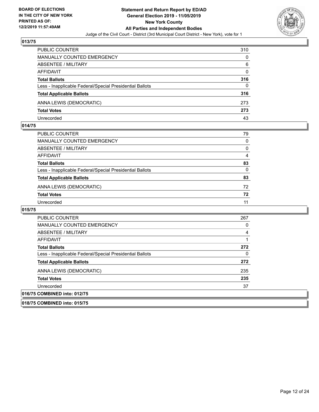

| <b>PUBLIC COUNTER</b>                                    | 310 |
|----------------------------------------------------------|-----|
| MANUALLY COUNTED EMERGENCY                               | 0   |
| <b>ABSENTEE / MILITARY</b>                               | 6   |
| AFFIDAVIT                                                | 0   |
| <b>Total Ballots</b>                                     | 316 |
| Less - Inapplicable Federal/Special Presidential Ballots | 0   |
| <b>Total Applicable Ballots</b>                          | 316 |
| ANNA LEWIS (DEMOCRATIC)                                  | 273 |
| <b>Total Votes</b>                                       | 273 |
| Unrecorded                                               | 43  |

#### **014/75**

| PUBLIC COUNTER                                           | 79       |
|----------------------------------------------------------|----------|
| MANUALLY COUNTED EMERGENCY                               | 0        |
| ABSENTEE / MILITARY                                      | $\Omega$ |
| AFFIDAVIT                                                | 4        |
| <b>Total Ballots</b>                                     | 83       |
| Less - Inapplicable Federal/Special Presidential Ballots | $\Omega$ |
| <b>Total Applicable Ballots</b>                          | 83       |
| ANNA LEWIS (DEMOCRATIC)                                  | 72       |
| <b>Total Votes</b>                                       | 72       |
| Unrecorded                                               | 11       |

| <b>PUBLIC COUNTER</b>                                    | 267 |
|----------------------------------------------------------|-----|
| <b>MANUALLY COUNTED EMERGENCY</b>                        | 0   |
| ABSENTEE / MILITARY                                      | 4   |
| AFFIDAVIT                                                |     |
| <b>Total Ballots</b>                                     | 272 |
| Less - Inapplicable Federal/Special Presidential Ballots | 0   |
| <b>Total Applicable Ballots</b>                          | 272 |
| ANNA LEWIS (DEMOCRATIC)                                  | 235 |
| <b>Total Votes</b>                                       | 235 |
| Unrecorded                                               | 37  |
| 016/75 COMBINED into: 012/75                             |     |
| 018/75 COMBINED into: 015/75                             |     |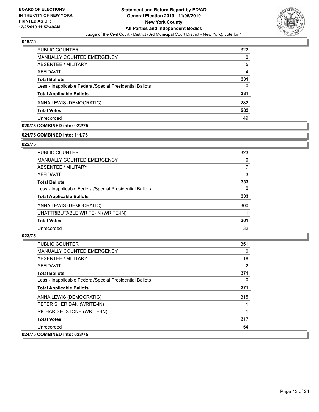

| PUBLIC COUNTER                                           | 322 |
|----------------------------------------------------------|-----|
| <b>MANUALLY COUNTED EMERGENCY</b>                        | 0   |
| ABSENTEE / MILITARY                                      | 5   |
| AFFIDAVIT                                                | 4   |
| <b>Total Ballots</b>                                     | 331 |
| Less - Inapplicable Federal/Special Presidential Ballots | 0   |
| <b>Total Applicable Ballots</b>                          | 331 |
| ANNA LEWIS (DEMOCRATIC)                                  | 282 |
| <b>Total Votes</b>                                       | 282 |
| Unrecorded                                               | 49  |

## **020/75 COMBINED into: 022/75**

#### **021/75 COMBINED into: 111/75**

#### **022/75**

| PUBLIC COUNTER                                           | 323 |
|----------------------------------------------------------|-----|
| MANUALLY COUNTED EMERGENCY                               | 0   |
| ABSENTEE / MILITARY                                      | 7   |
| AFFIDAVIT                                                | 3   |
| <b>Total Ballots</b>                                     | 333 |
| Less - Inapplicable Federal/Special Presidential Ballots | 0   |
| <b>Total Applicable Ballots</b>                          | 333 |
| ANNA LEWIS (DEMOCRATIC)                                  | 300 |
| UNATTRIBUTABLE WRITE-IN (WRITE-IN)                       |     |
| <b>Total Votes</b>                                       | 301 |
| Unrecorded                                               | 32  |

| <b>PUBLIC COUNTER</b>                                    | 351 |
|----------------------------------------------------------|-----|
| <b>MANUALLY COUNTED EMERGENCY</b>                        | 0   |
| <b>ABSENTEE / MILITARY</b>                               | 18  |
| AFFIDAVIT                                                | 2   |
| <b>Total Ballots</b>                                     | 371 |
| Less - Inapplicable Federal/Special Presidential Ballots | 0   |
| <b>Total Applicable Ballots</b>                          | 371 |
| ANNA LEWIS (DEMOCRATIC)                                  | 315 |
| PETER SHERIDAN (WRITE-IN)                                |     |
| RICHARD E. STONE (WRITE-IN)                              |     |
| <b>Total Votes</b>                                       | 317 |
| Unrecorded                                               | 54  |
| 024/75 COMBINED into: 023/75                             |     |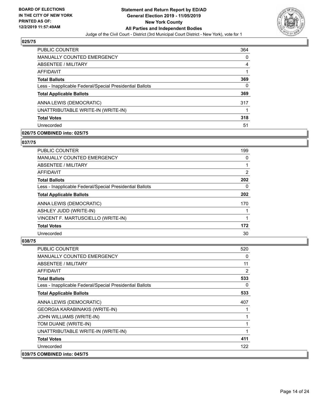

| <b>PUBLIC COUNTER</b>                                    | 364 |
|----------------------------------------------------------|-----|
| <b>MANUALLY COUNTED EMERGENCY</b>                        | 0   |
| ABSENTEE / MILITARY                                      | 4   |
| AFFIDAVIT                                                |     |
| <b>Total Ballots</b>                                     | 369 |
| Less - Inapplicable Federal/Special Presidential Ballots | 0   |
| <b>Total Applicable Ballots</b>                          | 369 |
| ANNA LEWIS (DEMOCRATIC)                                  | 317 |
| UNATTRIBUTABLE WRITE-IN (WRITE-IN)                       |     |
| <b>Total Votes</b>                                       | 318 |
| Unrecorded                                               | 51  |

## **026/75 COMBINED into: 025/75**

## **037/75**

| <b>PUBLIC COUNTER</b>                                    | 199      |
|----------------------------------------------------------|----------|
| MANUALLY COUNTED EMERGENCY                               | 0        |
| ABSENTEE / MILITARY                                      | 1        |
| AFFIDAVIT                                                | 2        |
| <b>Total Ballots</b>                                     | 202      |
| Less - Inapplicable Federal/Special Presidential Ballots | $\Omega$ |
| <b>Total Applicable Ballots</b>                          | 202      |
| ANNA LEWIS (DEMOCRATIC)                                  | 170      |
| ASHLEY JUDD (WRITE-IN)                                   |          |
| VINCENT F. MARTUSCIELLO (WRITE-IN)                       |          |
| <b>Total Votes</b>                                       | 172      |
| Unrecorded                                               | 30       |

| PUBLIC COUNTER                                           | 520 |
|----------------------------------------------------------|-----|
| <b>MANUALLY COUNTED EMERGENCY</b>                        | 0   |
| <b>ABSENTEE / MILITARY</b>                               | 11  |
| AFFIDAVIT                                                | 2   |
| <b>Total Ballots</b>                                     | 533 |
| Less - Inapplicable Federal/Special Presidential Ballots | 0   |
| <b>Total Applicable Ballots</b>                          | 533 |
| ANNA LEWIS (DEMOCRATIC)                                  | 407 |
| <b>GEORGIA KARABINAKIS (WRITE-IN)</b>                    |     |
| JOHN WILLIAMS (WRITE-IN)                                 | 1   |
| TOM DUANE (WRITE-IN)                                     | 1   |
| UNATTRIBUTABLE WRITE-IN (WRITE-IN)                       | 1   |
| <b>Total Votes</b>                                       | 411 |
| Unrecorded                                               | 122 |
| 039/75 COMBINED into: 045/75                             |     |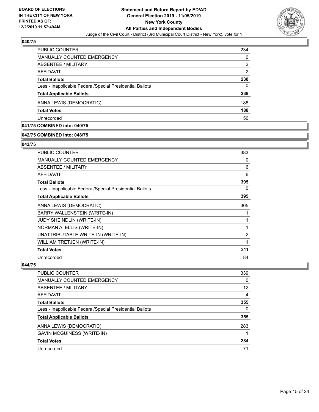

| PUBLIC COUNTER                                           | 234            |
|----------------------------------------------------------|----------------|
| <b>MANUALLY COUNTED EMERGENCY</b>                        | $\Omega$       |
| ABSENTEE / MILITARY                                      | $\overline{2}$ |
| AFFIDAVIT                                                | 2              |
| <b>Total Ballots</b>                                     | 238            |
| Less - Inapplicable Federal/Special Presidential Ballots | 0              |
| <b>Total Applicable Ballots</b>                          | 238            |
| ANNA LEWIS (DEMOCRATIC)                                  | 188            |
| <b>Total Votes</b>                                       | 188            |
| Unrecorded                                               | 50             |

## **041/75 COMBINED into: 040/75**

## **042/75 COMBINED into: 048/75**

#### **043/75**

| PUBLIC COUNTER                                           | 383            |
|----------------------------------------------------------|----------------|
| MANUALLY COUNTED EMERGENCY                               | 0              |
| ABSENTEE / MILITARY                                      | 6              |
| AFFIDAVIT                                                | 6              |
| <b>Total Ballots</b>                                     | 395            |
| Less - Inapplicable Federal/Special Presidential Ballots | 0              |
| <b>Total Applicable Ballots</b>                          | 395            |
| ANNA LEWIS (DEMOCRATIC)                                  | 305            |
| BARRY WALLENSTEIN (WRITE-IN)                             | 1              |
| <b>JUDY SHEINDLIN (WRITE-IN)</b>                         | 1              |
| NORMAN A. ELLIS (WRITE-IN)                               | 1              |
| UNATTRIBUTABLE WRITE-IN (WRITE-IN)                       | $\overline{2}$ |
| WILLIAM TRETJEN (WRITE-IN)                               | 1              |
| <b>Total Votes</b>                                       | 311            |
| Unrecorded                                               | 84             |

| <b>PUBLIC COUNTER</b>                                    | 339          |
|----------------------------------------------------------|--------------|
| MANUALLY COUNTED EMERGENCY                               | $\Omega$     |
| ABSENTEE / MILITARY                                      | 12           |
| AFFIDAVIT                                                | 4            |
| <b>Total Ballots</b>                                     | 355          |
| Less - Inapplicable Federal/Special Presidential Ballots | $\mathbf{0}$ |
| <b>Total Applicable Ballots</b>                          | 355          |
| ANNA LEWIS (DEMOCRATIC)                                  | 283          |
| <b>GAVIN MCGUINESS (WRITE-IN)</b>                        |              |
| <b>Total Votes</b>                                       | 284          |
| Unrecorded                                               | 71           |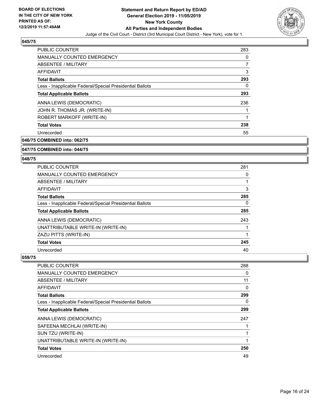

| PUBLIC COUNTER                                           | 283 |
|----------------------------------------------------------|-----|
| <b>MANUALLY COUNTED EMERGENCY</b>                        | 0   |
| ABSENTEE / MILITARY                                      | 7   |
| <b>AFFIDAVIT</b>                                         | 3   |
| <b>Total Ballots</b>                                     | 293 |
| Less - Inapplicable Federal/Special Presidential Ballots | 0   |
| <b>Total Applicable Ballots</b>                          | 293 |
| ANNA LEWIS (DEMOCRATIC)                                  | 236 |
| JOHN R. THOMAS JR. (WRITE-IN)                            |     |
| ROBERT MARKOFF (WRITE-IN)                                | 1   |
| <b>Total Votes</b>                                       | 238 |
| Unrecorded                                               | 55  |

**046/75 COMBINED into: 062/75**

#### **047/75 COMBINED into: 044/75**

#### **048/75**

| <b>PUBLIC COUNTER</b>                                    | 281 |
|----------------------------------------------------------|-----|
| <b>MANUALLY COUNTED EMERGENCY</b>                        | 0   |
| ABSENTEE / MILITARY                                      |     |
| AFFIDAVIT                                                | 3   |
| <b>Total Ballots</b>                                     | 285 |
| Less - Inapplicable Federal/Special Presidential Ballots | 0   |
| <b>Total Applicable Ballots</b>                          | 285 |
| ANNA LEWIS (DEMOCRATIC)                                  | 243 |
| UNATTRIBUTABLE WRITE-IN (WRITE-IN)                       |     |
| ZAZU PITTS (WRITE-IN)                                    |     |
| <b>Total Votes</b>                                       | 245 |
| Unrecorded                                               | 40  |

| <b>PUBLIC COUNTER</b>                                    | 288 |
|----------------------------------------------------------|-----|
| <b>MANUALLY COUNTED EMERGENCY</b>                        | 0   |
| ABSENTEE / MILITARY                                      | 11  |
| AFFIDAVIT                                                | 0   |
| <b>Total Ballots</b>                                     | 299 |
| Less - Inapplicable Federal/Special Presidential Ballots | 0   |
| <b>Total Applicable Ballots</b>                          | 299 |
| ANNA LEWIS (DEMOCRATIC)                                  | 247 |
| SAFEENA MECHLAI (WRITE-IN)                               |     |
| SUN TZU (WRITE-IN)                                       |     |
| UNATTRIBUTABLE WRITE-IN (WRITE-IN)                       | 1   |
| <b>Total Votes</b>                                       | 250 |
| Unrecorded                                               | 49  |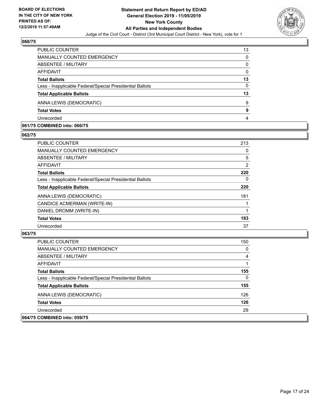

| PUBLIC COUNTER                                           | 13       |
|----------------------------------------------------------|----------|
| <b>MANUALLY COUNTED EMERGENCY</b>                        | 0        |
| ABSENTEE / MILITARY                                      | 0        |
| AFFIDAVIT                                                | $\Omega$ |
| <b>Total Ballots</b>                                     | 13       |
| Less - Inapplicable Federal/Special Presidential Ballots | $\Omega$ |
| <b>Total Applicable Ballots</b>                          | 13       |
| ANNA LEWIS (DEMOCRATIC)                                  | 9        |
| <b>Total Votes</b>                                       | 9        |
| Unrecorded                                               | 4        |

#### **061/75 COMBINED into: 060/75**

#### **062/75**

| PUBLIC COUNTER                                           | 213 |
|----------------------------------------------------------|-----|
| <b>MANUALLY COUNTED EMERGENCY</b>                        | 0   |
| ABSENTEE / MILITARY                                      | 5   |
| AFFIDAVIT                                                | 2   |
| <b>Total Ballots</b>                                     | 220 |
| Less - Inapplicable Federal/Special Presidential Ballots | 0   |
| <b>Total Applicable Ballots</b>                          | 220 |
| ANNA LEWIS (DEMOCRATIC)                                  | 181 |
| CANDICE ACMERMAN (WRITE-IN)                              |     |
| DANIEL DROMM (WRITE-IN)                                  |     |
| <b>Total Votes</b>                                       | 183 |
| Unrecorded                                               | 37  |
|                                                          |     |

| <b>PUBLIC COUNTER</b>                                    | 150            |
|----------------------------------------------------------|----------------|
| <b>MANUALLY COUNTED EMERGENCY</b>                        | 0              |
| ABSENTEE / MILITARY                                      | $\overline{4}$ |
| <b>AFFIDAVIT</b>                                         |                |
| <b>Total Ballots</b>                                     | 155            |
| Less - Inapplicable Federal/Special Presidential Ballots | $\Omega$       |
| <b>Total Applicable Ballots</b>                          | 155            |
| ANNA LEWIS (DEMOCRATIC)                                  | 126            |
| <b>Total Votes</b>                                       | 126            |
| Unrecorded                                               | 29             |
| 064/75 COMBINED into: 059/75                             |                |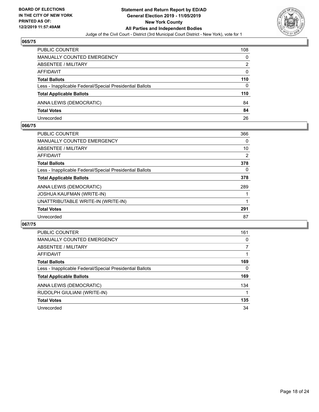

| <b>PUBLIC COUNTER</b>                                    | 108 |
|----------------------------------------------------------|-----|
| MANUALLY COUNTED EMERGENCY                               | 0   |
| <b>ABSENTEE / MILITARY</b>                               | 2   |
| AFFIDAVIT                                                | 0   |
| <b>Total Ballots</b>                                     | 110 |
| Less - Inapplicable Federal/Special Presidential Ballots | 0   |
| <b>Total Applicable Ballots</b>                          | 110 |
| ANNA LEWIS (DEMOCRATIC)                                  | 84  |
| <b>Total Votes</b>                                       | 84  |
| Unrecorded                                               | 26  |

#### **066/75**

| <b>PUBLIC COUNTER</b>                                    | 366 |
|----------------------------------------------------------|-----|
| <b>MANUALLY COUNTED EMERGENCY</b>                        | 0   |
| ABSENTEE / MILITARY                                      | 10  |
| AFFIDAVIT                                                | 2   |
| <b>Total Ballots</b>                                     | 378 |
| Less - Inapplicable Federal/Special Presidential Ballots | 0   |
| <b>Total Applicable Ballots</b>                          | 378 |
| ANNA LEWIS (DEMOCRATIC)                                  | 289 |
| <b>JOSHUA KAUFMAN (WRITE-IN)</b>                         |     |
| UNATTRIBUTABLE WRITE-IN (WRITE-IN)                       |     |
| <b>Total Votes</b>                                       | 291 |
| Unrecorded                                               | 87  |

| PUBLIC COUNTER                                           | 161 |
|----------------------------------------------------------|-----|
| <b>MANUALLY COUNTED EMERGENCY</b>                        | 0   |
| ABSENTEE / MILITARY                                      |     |
| <b>AFFIDAVIT</b>                                         |     |
| <b>Total Ballots</b>                                     | 169 |
| Less - Inapplicable Federal/Special Presidential Ballots | 0   |
| <b>Total Applicable Ballots</b>                          | 169 |
| ANNA LEWIS (DEMOCRATIC)                                  | 134 |
| RUDOLPH GIULIANI (WRITE-IN)                              |     |
| <b>Total Votes</b>                                       | 135 |
| Unrecorded                                               | 34  |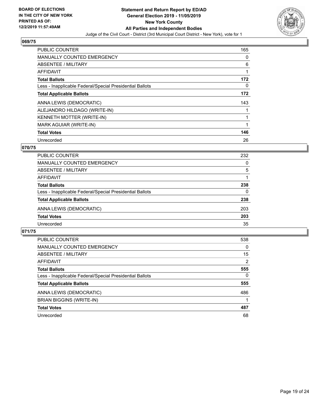

| PUBLIC COUNTER                                           | 165      |
|----------------------------------------------------------|----------|
| <b>MANUALLY COUNTED EMERGENCY</b>                        | 0        |
| ABSENTEE / MILITARY                                      | 6        |
| <b>AFFIDAVIT</b>                                         | 1        |
| <b>Total Ballots</b>                                     | 172      |
| Less - Inapplicable Federal/Special Presidential Ballots | $\Omega$ |
| <b>Total Applicable Ballots</b>                          | 172      |
| ANNA LEWIS (DEMOCRATIC)                                  | 143      |
| ALEJANDRO HILDAGO (WRITE-IN)                             |          |
| KENNETH MOTTER (WRITE-IN)                                | 1        |
| MARK AGUIAR (WRITE-IN)                                   |          |
| <b>Total Votes</b>                                       | 146      |
| Unrecorded                                               | 26       |

## **070/75**

| <b>PUBLIC COUNTER</b>                                    | 232      |
|----------------------------------------------------------|----------|
| <b>MANUALLY COUNTED EMERGENCY</b>                        | 0        |
| ABSENTEE / MILITARY                                      | 5        |
| AFFIDAVIT                                                |          |
| <b>Total Ballots</b>                                     | 238      |
| Less - Inapplicable Federal/Special Presidential Ballots | $\Omega$ |
| <b>Total Applicable Ballots</b>                          | 238      |
| ANNA LEWIS (DEMOCRATIC)                                  | 203      |
| <b>Total Votes</b>                                       | 203      |
| Unrecorded                                               | 35       |

| <b>PUBLIC COUNTER</b>                                    | 538            |
|----------------------------------------------------------|----------------|
| <b>MANUALLY COUNTED EMERGENCY</b>                        | 0              |
| ABSENTEE / MILITARY                                      | 15             |
| AFFIDAVIT                                                | $\overline{2}$ |
| <b>Total Ballots</b>                                     | 555            |
| Less - Inapplicable Federal/Special Presidential Ballots | $\Omega$       |
| <b>Total Applicable Ballots</b>                          | 555            |
| ANNA LEWIS (DEMOCRATIC)                                  | 486            |
| BRIAN BIGGINS (WRITE-IN)                                 |                |
| <b>Total Votes</b>                                       | 487            |
| Unrecorded                                               | 68             |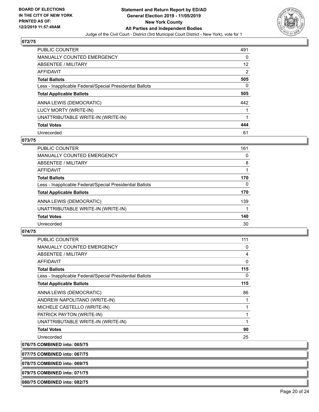

| <b>PUBLIC COUNTER</b>                                    | 491 |
|----------------------------------------------------------|-----|
| <b>MANUALLY COUNTED EMERGENCY</b>                        | 0   |
| ABSENTEE / MILITARY                                      | 12  |
| AFFIDAVIT                                                | 2   |
| <b>Total Ballots</b>                                     | 505 |
| Less - Inapplicable Federal/Special Presidential Ballots | 0   |
| <b>Total Applicable Ballots</b>                          | 505 |
| ANNA LEWIS (DEMOCRATIC)                                  | 442 |
| LUCY MORTY (WRITE-IN)                                    |     |
| UNATTRIBUTABLE WRITE-IN (WRITE-IN)                       |     |
|                                                          |     |
| <b>Total Votes</b>                                       | 444 |

## **073/75**

| <b>PUBLIC COUNTER</b>                                    | 161 |
|----------------------------------------------------------|-----|
| <b>MANUALLY COUNTED EMERGENCY</b>                        | 0   |
| ABSENTEE / MILITARY                                      | 8   |
| AFFIDAVIT                                                |     |
| <b>Total Ballots</b>                                     | 170 |
| Less - Inapplicable Federal/Special Presidential Ballots | 0   |
| <b>Total Applicable Ballots</b>                          | 170 |
| ANNA LEWIS (DEMOCRATIC)                                  | 139 |
| UNATTRIBUTABLE WRITE-IN (WRITE-IN)                       |     |
| <b>Total Votes</b>                                       | 140 |
| Unrecorded                                               | 30  |

## **074/75**

| PUBLIC COUNTER                                           | 111 |
|----------------------------------------------------------|-----|
| <b>MANUALLY COUNTED EMERGENCY</b>                        | 0   |
| <b>ABSENTEE / MILITARY</b>                               | 4   |
| AFFIDAVIT                                                | 0   |
| <b>Total Ballots</b>                                     | 115 |
| Less - Inapplicable Federal/Special Presidential Ballots | 0   |
| <b>Total Applicable Ballots</b>                          | 115 |
| ANNA LEWIS (DEMOCRATIC)                                  | 86  |
| ANDREW NAPOLITANO (WRITE-IN)                             |     |
| MICHELE CASTELLO (WRITE-IN)                              |     |
| PATRICK PAYTON (WRITE-IN)                                |     |
| UNATTRIBUTABLE WRITE-IN (WRITE-IN)                       |     |
| <b>Total Votes</b>                                       | 90  |
| Unrecorded                                               | 25  |

**076/75 COMBINED into: 065/75**

**077/75 COMBINED into: 067/75**

**078/75 COMBINED into: 069/75**

**079/75 COMBINED into: 071/75**

**080/75 COMBINED into: 082/75**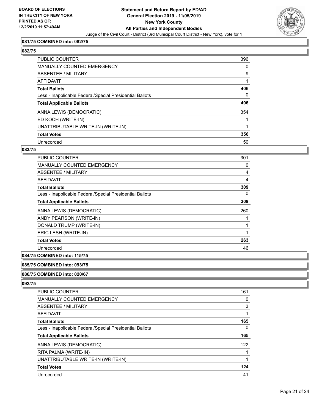

#### **081/75 COMBINED into: 082/75**

#### **082/75**

| <b>PUBLIC COUNTER</b>                                    | 396 |
|----------------------------------------------------------|-----|
| <b>MANUALLY COUNTED EMERGENCY</b>                        | 0   |
| ABSENTEE / MILITARY                                      | 9   |
| AFFIDAVIT                                                |     |
| <b>Total Ballots</b>                                     | 406 |
| Less - Inapplicable Federal/Special Presidential Ballots | 0   |
| <b>Total Applicable Ballots</b>                          | 406 |
| ANNA LEWIS (DEMOCRATIC)                                  | 354 |
| ED KOCH (WRITE-IN)                                       |     |
| UNATTRIBUTABLE WRITE-IN (WRITE-IN)                       |     |
| <b>Total Votes</b>                                       | 356 |
| Unrecorded                                               | 50  |

#### **083/75**

| <b>PUBLIC COUNTER</b>                                    | 301 |
|----------------------------------------------------------|-----|
| <b>MANUALLY COUNTED EMERGENCY</b>                        | 0   |
| ABSENTEE / MILITARY                                      | 4   |
| AFFIDAVIT                                                | 4   |
| <b>Total Ballots</b>                                     | 309 |
| Less - Inapplicable Federal/Special Presidential Ballots | 0   |
| <b>Total Applicable Ballots</b>                          | 309 |
| ANNA LEWIS (DEMOCRATIC)                                  | 260 |
| ANDY PEARSON (WRITE-IN)                                  |     |
| DONALD TRUMP (WRITE-IN)                                  |     |
| ERIC LESH (WRITE-IN)                                     |     |
| <b>Total Votes</b>                                       | 263 |
| Unrecorded                                               | 46  |
|                                                          |     |

## **084/75 COMBINED into: 115/75**

#### **085/75 COMBINED into: 093/75**

#### **086/75 COMBINED into: 020/67**

| PUBLIC COUNTER                                           | 161 |
|----------------------------------------------------------|-----|
| <b>MANUALLY COUNTED EMERGENCY</b>                        | 0   |
| ABSENTEE / MILITARY                                      | 3   |
| AFFIDAVIT                                                |     |
| <b>Total Ballots</b>                                     | 165 |
| Less - Inapplicable Federal/Special Presidential Ballots | 0   |
| <b>Total Applicable Ballots</b>                          | 165 |
| ANNA LEWIS (DEMOCRATIC)                                  | 122 |
| RITA PALMA (WRITE-IN)                                    |     |
| UNATTRIBUTABLE WRITE-IN (WRITE-IN)                       |     |
| <b>Total Votes</b>                                       | 124 |
| Unrecorded                                               | 41  |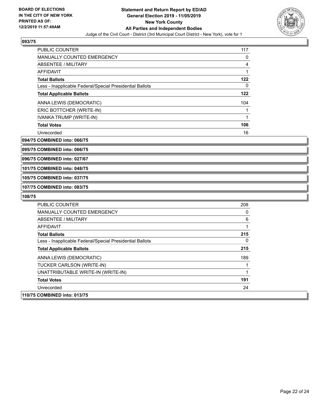

| <b>PUBLIC COUNTER</b>                                    | 117 |
|----------------------------------------------------------|-----|
| <b>MANUALLY COUNTED EMERGENCY</b>                        | 0   |
| ABSENTEE / MILITARY                                      | 4   |
| AFFIDAVIT                                                | 1   |
| <b>Total Ballots</b>                                     | 122 |
| Less - Inapplicable Federal/Special Presidential Ballots | 0   |
| <b>Total Applicable Ballots</b>                          | 122 |
| ANNA LEWIS (DEMOCRATIC)                                  | 104 |
| ERIC BOTTCHER (WRITE-IN)                                 |     |
| IVANKA TRUMP (WRITE-IN)                                  | 1   |
| <b>Total Votes</b>                                       | 106 |
| Unrecorded                                               | 16  |
|                                                          |     |

**094/75 COMBINED into: 066/75**

**095/75 COMBINED into: 066/75**

**096/75 COMBINED into: 027/67**

**101/75 COMBINED into: 048/75**

**105/75 COMBINED into: 037/75**

**107/75 COMBINED into: 083/75**

| <b>PUBLIC COUNTER</b>                                    | 208 |
|----------------------------------------------------------|-----|
| <b>MANUALLY COUNTED EMERGENCY</b>                        | 0   |
| ABSENTEE / MILITARY                                      | 6   |
| AFFIDAVIT                                                | 1   |
| <b>Total Ballots</b>                                     | 215 |
| Less - Inapplicable Federal/Special Presidential Ballots | 0   |
| <b>Total Applicable Ballots</b>                          | 215 |
| ANNA LEWIS (DEMOCRATIC)                                  | 189 |
| TUCKER CARLSON (WRITE-IN)                                |     |
| UNATTRIBUTABLE WRITE-IN (WRITE-IN)                       | 1   |
| <b>Total Votes</b>                                       | 191 |
| Unrecorded                                               | 24  |
| 110/75 COMBINED into: 013/75                             |     |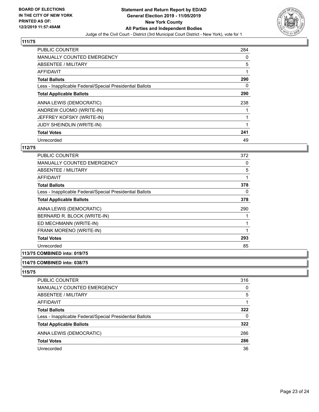

| PUBLIC COUNTER                                           | 284 |
|----------------------------------------------------------|-----|
| <b>MANUALLY COUNTED EMERGENCY</b>                        | 0   |
| ABSENTEE / MILITARY                                      | 5   |
| <b>AFFIDAVIT</b>                                         |     |
| <b>Total Ballots</b>                                     | 290 |
| Less - Inapplicable Federal/Special Presidential Ballots | 0   |
| <b>Total Applicable Ballots</b>                          | 290 |
| ANNA LEWIS (DEMOCRATIC)                                  | 238 |
| ANDREW CUOMO (WRITE-IN)                                  |     |
| JEFFREY KOFSKY (WRITE-IN)                                |     |
| JUDY SHEINDLIN (WRITE-IN)                                |     |
| <b>Total Votes</b>                                       | 241 |
| Unrecorded                                               | 49  |

## **112/75**

| <b>PUBLIC COUNTER</b>                                    | 372 |
|----------------------------------------------------------|-----|
| <b>MANUALLY COUNTED EMERGENCY</b>                        | 0   |
| ABSENTEE / MILITARY                                      | 5   |
| AFFIDAVIT                                                | 1   |
| <b>Total Ballots</b>                                     | 378 |
| Less - Inapplicable Federal/Special Presidential Ballots | 0   |
| <b>Total Applicable Ballots</b>                          | 378 |
| ANNA LEWIS (DEMOCRATIC)                                  | 290 |
| BERNARD R. BLOCK (WRITE-IN)                              |     |
| ED MECHMANN (WRITE-IN)                                   |     |
| FRANK MORENO (WRITE-IN)                                  | 1   |
| <b>Total Votes</b>                                       | 293 |
| Unrecorded                                               | 85  |
|                                                          |     |

## **113/75 COMBINED into: 019/75**

#### **114/75 COMBINED into: 038/75**

| <b>PUBLIC COUNTER</b>                                    | 316 |
|----------------------------------------------------------|-----|
| <b>MANUALLY COUNTED EMERGENCY</b>                        | 0   |
| ABSENTEE / MILITARY                                      | 5   |
| AFFIDAVIT                                                |     |
| <b>Total Ballots</b>                                     | 322 |
| Less - Inapplicable Federal/Special Presidential Ballots | 0   |
| <b>Total Applicable Ballots</b>                          | 322 |
| ANNA LEWIS (DEMOCRATIC)                                  | 286 |
| <b>Total Votes</b>                                       | 286 |
| Unrecorded                                               | 36  |